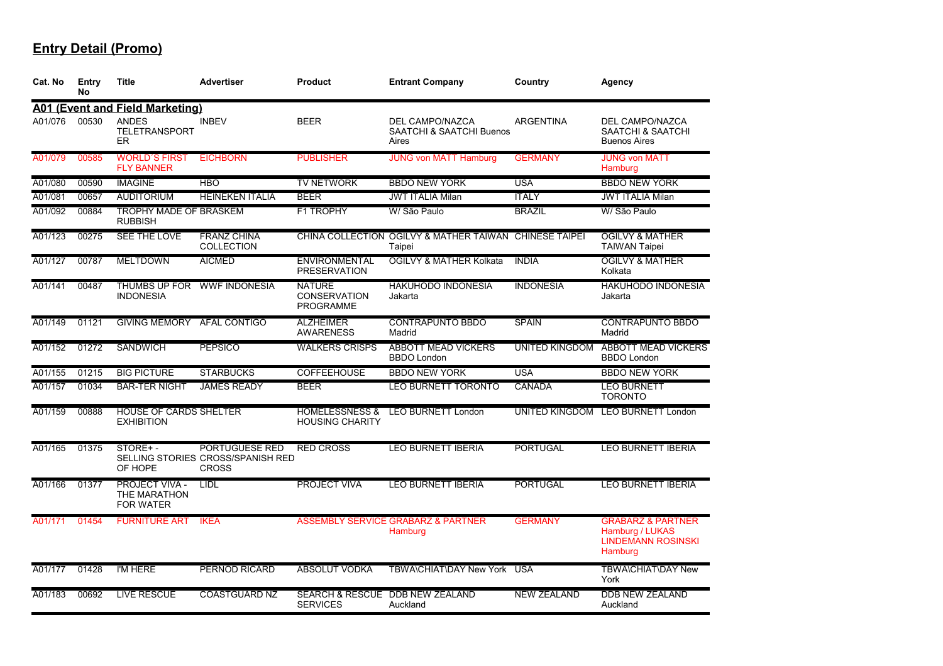| Cat. No | Entry<br>No | <b>Title</b>                                              | <b>Advertiser</b>                                                   | <b>Product</b>                                           | <b>Entrant Company</b>                                                 | Country            | Agency                                                                                  |
|---------|-------------|-----------------------------------------------------------|---------------------------------------------------------------------|----------------------------------------------------------|------------------------------------------------------------------------|--------------------|-----------------------------------------------------------------------------------------|
|         |             | <b>A01 (Event and Field Marketing)</b>                    |                                                                     |                                                          |                                                                        |                    |                                                                                         |
| A01/076 | 00530       | <b>ANDES</b><br>TELETRANSPORT<br><b>ER</b>                | <b>INBEV</b>                                                        | <b>BEER</b>                                              | <b>DEL CAMPO/NAZCA</b><br><b>SAATCHI &amp; SAATCHI Buenos</b><br>Aires | <b>ARGENTINA</b>   | <b>DEL CAMPO/NAZCA</b><br>SAATCHI & SAATCHI<br><b>Buenos Aires</b>                      |
| A01/079 | 00585       | <b>WORLD'S FIRST</b><br><b>FLY BANNER</b>                 | <b>EICHBORN</b>                                                     | <b>PUBLISHER</b>                                         | <b>JUNG von MATT Hamburg</b>                                           | <b>GERMANY</b>     | <b>JUNG von MATT</b><br>Hamburg                                                         |
| A01/080 | 00590       | <b>IMAGINE</b>                                            | <b>HBO</b>                                                          | <b>TV NETWORK</b>                                        | <b>BBDO NEW YORK</b>                                                   | <b>USA</b>         | <b>BBDO NEW YORK</b>                                                                    |
| A01/081 | 00657       | <b>AUDITORIUM</b>                                         | <b>HEINEKEN ITALIA</b>                                              | <b>BEER</b>                                              | <b>JWT ITALIA Milan</b>                                                | <b>ITALY</b>       | <b>JWT ITALIA Milan</b>                                                                 |
| A01/092 | 00884       | <b>TROPHY MADE OF BRASKEM</b><br><b>RUBBISH</b>           |                                                                     | <b>F1 TROPHY</b>                                         | W/ São Paulo                                                           | <b>BRAZIL</b>      | W/ São Paulo                                                                            |
| A01/123 | 00275       | SEE THE LOVE                                              | <b>FRANZ CHINA</b><br><b>COLLECTION</b>                             |                                                          | CHINA COLLECTION OGILVY & MATHER TAIWAN CHINESE TAIPEI<br>Taipei       |                    | <b>OGILVY &amp; MATHER</b><br><b>TAIWAN Taipei</b>                                      |
| A01/127 | 00787       | <b>MELTDOWN</b>                                           | <b>AICMED</b>                                                       | <b>ENVIRONMENTAL</b><br><b>PRESERVATION</b>              | <b>OGILVY &amp; MATHER Kolkata</b>                                     | <b>INDIA</b>       | <b>OGILVY &amp; MATHER</b><br>Kolkata                                                   |
| A01/141 | 00487       | <b>THUMBS UP FOR</b><br><b>INDONESIA</b>                  | <b>WWF INDONESIA</b>                                                | <b>NATURE</b><br><b>CONSERVATION</b><br><b>PROGRAMME</b> | <b>HAKUHODO INDONESIA</b><br>Jakarta                                   | <b>INDONESIA</b>   | <b>HAKUHODO INDONESIA</b><br>Jakarta                                                    |
| A01/149 | 01121       | <b>GIVING MEMORY</b>                                      | AFAL CONTIGO                                                        | <b>ALZHEIMER</b><br><b>AWARENESS</b>                     | <b>CONTRAPUNTO BBDO</b><br>Madrid                                      | <b>SPAIN</b>       | <b>CONTRAPUNTO BBDO</b><br>Madrid                                                       |
| A01/152 | 01272       | <b>SANDWICH</b>                                           | <b>PEPSICO</b>                                                      | <b>WALKERS CRISPS</b>                                    | <b>ABBOTT MEAD VICKERS</b><br><b>BBDO</b> London                       | UNITED KINGDOM     | <b>ABBOTT MEAD VICKERS</b><br><b>BBDO London</b>                                        |
| A01/155 | 01215       | <b>BIG PICTURE</b>                                        | <b>STARBUCKS</b>                                                    | <b>COFFEEHOUSE</b>                                       | <b>BBDO NEW YORK</b>                                                   | <b>USA</b>         | <b>BBDO NEW YORK</b>                                                                    |
| A01/157 | 01034       | <b>BAR-TER NIGHT</b>                                      | <b>JAMES READY</b>                                                  | <b>BEER</b>                                              | <b>LEO BURNETT TORONTO</b>                                             | CANADA             | <b>LEO BURNETT</b><br><b>TORONTO</b>                                                    |
| A01/159 | 00888       | <b>HOUSE OF CARDS SHELTER</b><br><b>EXHIBITION</b>        |                                                                     | <b>HOMELESSNESS &amp;</b><br><b>HOUSING CHARITY</b>      | <b>LEO BURNETT London</b>                                              | UNITED KINGDOM     | <b>LEO BURNETT London</b>                                                               |
| A01/165 | 01375       | STORE+-<br>OF HOPE                                        | PORTUGUESE RED<br>SELLING STORIES CROSS/SPANISH RED<br><b>CROSS</b> | <b>RED CROSS</b>                                         | <b>LEO BURNETT IBERIA</b>                                              | <b>PORTUGAL</b>    | <b>LEO BURNETT IBERIA</b>                                                               |
| A01/166 | 01377       | <b>PROJECT VIVA -</b><br>THE MARATHON<br><b>FOR WATER</b> | LIDL                                                                | <b>PROJECT VIVA</b>                                      | <b>LEO BURNETT IBERIA</b>                                              | <b>PORTUGAL</b>    | <b>LEO BURNETT IBERIA</b>                                                               |
| A01/171 | 01454       | <b>FURNITURE ART</b>                                      | <b>IKEA</b>                                                         |                                                          | <b>ASSEMBLY SERVICE GRABARZ &amp; PARTNER</b><br>Hamburg               | <b>GERMANY</b>     | <b>GRABARZ &amp; PARTNER</b><br>Hamburg / LUKAS<br><b>LINDEMANN ROSINSKI</b><br>Hamburg |
| A01/177 | 01428       | I'M HERE                                                  | PERNOD RICARD                                                       | <b>ABSOLUT VODKA</b>                                     | TBWA\CHIAT\DAY New York USA                                            |                    | <b>TBWA\CHIAT\DAY New</b><br>York                                                       |
| A01/183 | 00692       | <b>LIVE RESCUE</b>                                        | <b>COASTGUARD NZ</b>                                                | <b>SERVICES</b>                                          | SEARCH & RESCUE DDB NEW ZEALAND<br>Auckland                            | <b>NEW ZEALAND</b> | <b>DDB NEW ZEALAND</b><br>Auckland                                                      |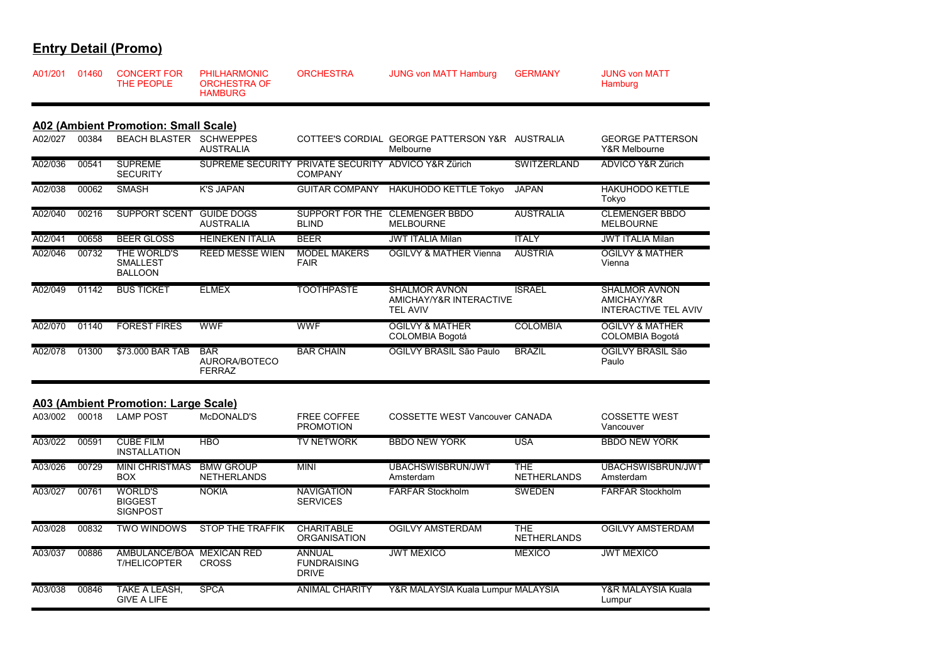| A01/201 | 01460 | <b>CONCERT FOR</b><br>THE PEOPLE                             | <b>PHILHARMONIC</b><br><b>ORCHESTRA OF</b><br><b>HAMBURG</b> | <b>ORCHESTRA</b>                                                      | <b>JUNG von MATT Hamburg</b>                                       | <b>GERMANY</b>                   | <b>JUNG von MATT</b><br>Hamburg                                    |
|---------|-------|--------------------------------------------------------------|--------------------------------------------------------------|-----------------------------------------------------------------------|--------------------------------------------------------------------|----------------------------------|--------------------------------------------------------------------|
| A02/027 | 00384 | A02 (Ambient Promotion: Small Scale)<br><b>BEACH BLASTER</b> | <b>SCHWEPPES</b>                                             |                                                                       | COTTEE'S CORDIAL GEORGE PATTERSON Y&R AUSTRALIA                    |                                  | <b>GEORGE PATTERSON</b>                                            |
|         |       |                                                              | <b>AUSTRALIA</b>                                             |                                                                       | Melbourne                                                          |                                  | Y&R Melbourne                                                      |
| A02/036 | 00541 | <b>SUPREME</b><br><b>SECURITY</b>                            |                                                              | SUPREME SECURITY PRIVATE SECURITY ADVICO Y&R Zürich<br><b>COMPANY</b> |                                                                    | <b>SWITZERLAND</b>               | <b>ADVICO Y&amp;R Zürich</b>                                       |
| A02/038 | 00062 | <b>SMASH</b>                                                 | <b>K'S JAPAN</b>                                             | <b>GUITAR COMPANY</b>                                                 | <b>HAKUHODO KETTLE Tokyo</b>                                       | <b>JAPAN</b>                     | <b>HAKUHODO KETTLE</b><br>Tokyo                                    |
| A02/040 | 00216 | <b>SUPPORT SCENT</b>                                         | <b>GUIDE DOGS</b><br><b>AUSTRALIA</b>                        | <b>BLIND</b>                                                          | SUPPORT FOR THE CLEMENGER BBDO<br><b>MELBOURNE</b>                 | <b>AUSTRALIA</b>                 | <b>CLEMENGER BBDO</b><br><b>MELBOURNE</b>                          |
| A02/041 | 00658 | <b>BEER GLOSS</b>                                            | <b>HEINEKEN ITALIA</b>                                       | <b>BEER</b>                                                           | <b>JWT ITALIA Milan</b>                                            | <b>ITALY</b>                     | <b>JWT ITALIA Milan</b>                                            |
| A02/046 | 00732 | THE WORLD'S<br><b>SMALLEST</b><br><b>BALLOON</b>             | <b>REED MESSE WIEN</b>                                       | <b>MODEL MAKERS</b><br><b>FAIR</b>                                    | <b>OGILVY &amp; MATHER Vienna</b>                                  | <b>AUSTRIA</b>                   | <b>OGILVY &amp; MATHER</b><br>Vienna                               |
| A02/049 | 01142 | <b>BUS TICKET</b>                                            | <b>ELMEX</b>                                                 | <b>TOOTHPASTE</b>                                                     | <b>SHALMOR AVNON</b><br>AMICHAY/Y&R INTERACTIVE<br><b>TEL AVIV</b> | <b>ISRAEL</b>                    | <b>SHALMOR AVNON</b><br>AMICHAY/Y&R<br><b>INTERACTIVE TEL AVIV</b> |
| A02/070 | 01140 | <b>FOREST FIRES</b>                                          | <b>WWF</b>                                                   | WWF                                                                   | <b>OGILVY &amp; MATHER</b><br><b>COLOMBIA Bogotá</b>               | <b>COLOMBIA</b>                  | <b>OGILVY &amp; MATHER</b><br><b>COLOMBIA Bogotá</b>               |
| A02/078 | 01300 | \$73.000 BAR TAB                                             | <b>BAR</b><br>AURORA/BOTECO<br><b>FERRAZ</b>                 | <b>BAR CHAIN</b>                                                      | OGILVY BRASIL São Paulo                                            | <b>BRAZIL</b>                    | OGILVY BRASIL São<br>Paulo                                         |
|         |       | A03 (Ambient Promotion: Large Scale)                         |                                                              |                                                                       |                                                                    |                                  |                                                                    |
| A03/002 | 00018 | <b>LAMP POST</b>                                             | McDONALD'S                                                   | <b>FREE COFFEE</b><br><b>PROMOTION</b>                                | <b>COSSETTE WEST Vancouver CANADA</b>                              |                                  | <b>COSSETTE WEST</b><br>Vancouver                                  |
| A03/022 | 00591 | <b>CUBE FILM</b><br><b>INSTALLATION</b>                      | <b>HBO</b>                                                   | <b>TV NETWORK</b>                                                     | <b>BBDO NEW YORK</b>                                               | <b>USA</b>                       | <b>BBDO NEW YORK</b>                                               |
| A03/026 | 00729 | <b>MINI CHRISTMAS</b><br><b>BOX</b>                          | <b>BMW GROUP</b><br><b>NETHERLANDS</b>                       | <b>MINI</b>                                                           | <b>UBACHSWISBRUN/JWT</b><br>Amsterdam                              | <b>THE</b><br><b>NETHERLANDS</b> | UBACHSWISBRUN/JWT<br>Amsterdam                                     |
| A03/027 | 00761 | <b>WORLD'S</b><br><b>BIGGEST</b><br><b>SIGNPOST</b>          | <b>NOKIA</b>                                                 | <b>NAVIGATION</b><br><b>SERVICES</b>                                  | <b>FARFAR Stockholm</b>                                            | <b>SWEDEN</b>                    | <b>FARFAR Stockholm</b>                                            |
| A03/028 | 00832 | <b>TWO WINDOWS</b>                                           | <b>STOP THE TRAFFIK</b>                                      | <b>CHARITABLE</b><br><b>ORGANISATION</b>                              | <b>OGILVY AMSTERDAM</b>                                            | <b>THE</b><br><b>NETHERLANDS</b> | <b>OGILVY AMSTERDAM</b>                                            |
| A03/037 | 00886 | AMBULANCE/BOA MEXICAN RED<br><b>T/HELICOPTER</b>             | <b>CROSS</b>                                                 | <b>ANNUAL</b><br><b>FUNDRAISING</b><br><b>DRIVE</b>                   | <b>JWT MEXICO</b>                                                  | <b>MEXICO</b>                    | <b>JWT MEXICO</b>                                                  |
| A03/038 | 00846 | TAKE A LEASH,<br><b>GIVE A LIFE</b>                          | <b>SPCA</b>                                                  | <b>ANIMAL CHARITY</b>                                                 | Y&R MALAYSIA Kuala Lumpur MALAYSIA                                 |                                  | Y&R MALAYSIA Kuala<br>Lumpur                                       |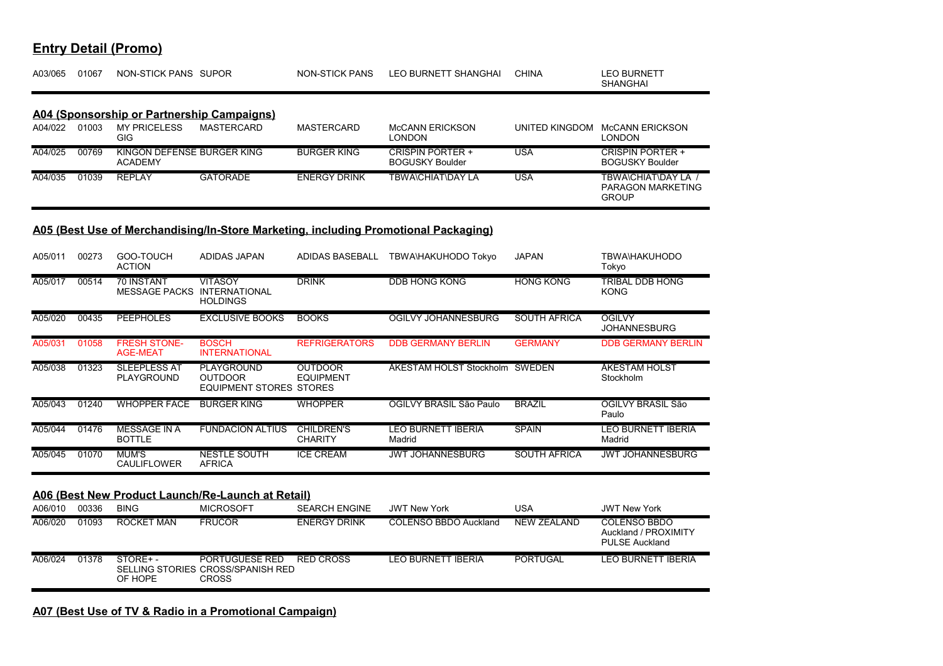| A03/065 | 01067 | NON-STICK PANS SUPOR                              |                   | NON-STICK PANS      | LEO BURNETT SHANGHAI                              | <b>CHINA</b>   | LEO BURNETT<br><b>SHANGHAI</b>                           |
|---------|-------|---------------------------------------------------|-------------------|---------------------|---------------------------------------------------|----------------|----------------------------------------------------------|
|         |       | <b>A04 (Sponsorship or Partnership Campaigns)</b> |                   |                     |                                                   |                |                                                          |
| A04/022 | 01003 | <b>MY PRICELESS</b><br>GIG.                       | <b>MASTERCARD</b> | <b>MASTERCARD</b>   | <b>McCANN ERICKSON</b><br><b>LONDON</b>           | UNITED KINGDOM | McCANN ERICKSON<br>LONDON                                |
| A04/025 | 00769 | KINGON DEFENSE BURGER KING<br><b>ACADEMY</b>      |                   | <b>BURGER KING</b>  | <b>CRISPIN PORTER +</b><br><b>BOGUSKY Boulder</b> | <b>USA</b>     | <b>CRISPIN PORTER +</b><br><b>BOGUSKY Boulder</b>        |
| A04/035 | 01039 | <b>REPLAY</b>                                     | <b>GATORADE</b>   | <b>ENERGY DRINK</b> | TBWA\CHIAT\DAY LA                                 | <b>USA</b>     | TBWA\CHIAT\DAY LA /<br>PARAGON MARKETING<br><b>GROUP</b> |

### **A05 (Best Use of Merchandising/In-Store Marketing, including Promotional Packaging)**

| A05/011 | 00273 | GOO-TOUCH<br><b>ACTION</b>                | ADIDAS JAPAN                                                               | ADIDAS BASEBALL                     | TBWA\HAKUHODO Tokyo                 | <b>JAPAN</b>        | <b>TBWA\HAKUHODO</b><br>Tokyo                                        |
|---------|-------|-------------------------------------------|----------------------------------------------------------------------------|-------------------------------------|-------------------------------------|---------------------|----------------------------------------------------------------------|
| A05/017 | 00514 | <b>70 INSTANT</b><br><b>MESSAGE PACKS</b> | <b>VITASOY</b><br><b>INTERNATIONAL</b><br><b>HOLDINGS</b>                  | <b>DRINK</b>                        | <b>DDB HONG KONG</b>                | <b>HONG KONG</b>    | TRIBAL DDB HONG<br><b>KONG</b>                                       |
| A05/020 | 00435 | <b>PEEPHOLES</b>                          | <b>EXCLUSIVE BOOKS</b>                                                     | <b>BOOKS</b>                        | <b>OGILVY JOHANNESBURG</b>          | <b>SOUTH AFRICA</b> | <b>OGILVY</b><br><b>JOHANNESBURG</b>                                 |
| A05/031 | 01058 | <b>FRESH STONE-</b><br><b>AGE-MEAT</b>    | <b>BOSCH</b><br><b>INTERNATIONAL</b>                                       | <b>REFRIGERATORS</b>                | <b>DDB GERMANY BERLIN</b>           | <b>GERMANY</b>      | <b>DDB GERMANY BERLIN</b>                                            |
| A05/038 | 01323 | <b>SLEEPLESS AT</b><br>PLAYGROUND         | <b>PLAYGROUND</b><br><b>OUTDOOR</b><br><b>EQUIPMENT STORES STORES</b>      | <b>OUTDOOR</b><br><b>EQUIPMENT</b>  | ÅKESTAM HOLST Stockholm SWEDEN      |                     | <b>ÅKESTAM HOLST</b><br>Stockholm                                    |
| A05/043 | 01240 | <b>WHOPPER FACE</b>                       | <b>BURGER KING</b>                                                         | <b>WHOPPER</b>                      | OGILVY BRASIL São Paulo             | <b>BRAZIL</b>       | OGILVY BRASIL São<br>Paulo                                           |
| A05/044 | 01476 | <b>MESSAGE IN A</b><br><b>BOTTLE</b>      | <b>FUNDACION ALTIUS</b>                                                    | <b>CHILDREN'S</b><br><b>CHARITY</b> | <b>LEO BURNETT IBERIA</b><br>Madrid | <b>SPAIN</b>        | LEO BURNETT IBERIA<br>Madrid                                         |
| A05/045 | 01070 | <b>MUM'S</b><br><b>CAULIFLOWER</b>        | NESTLE SOUTH<br><b>AFRICA</b>                                              | <b>ICE CREAM</b>                    | <b>JWT JOHANNESBURG</b>             | <b>SOUTH AFRICA</b> | <b>JWT JOHANNESBURG</b>                                              |
|         |       |                                           | A06 (Best New Product Launch/Re-Launch at Retail)                          |                                     |                                     |                     |                                                                      |
| A06/010 | 00336 | <b>BING</b>                               | <b>MICROSOFT</b>                                                           | <b>SEARCH ENGINE</b>                | <b>JWT New York</b>                 | <b>USA</b>          | <b>JWT New York</b>                                                  |
| A06/020 | 01093 | <b>ROCKET MAN</b>                         | <b>FRUCOR</b>                                                              | <b>ENERGY DRINK</b>                 | <b>COLENSO BBDO Auckland</b>        | <b>NEW ZEALAND</b>  | <b>COLENSO BBDO</b><br>Auckland / PROXIMITY<br><b>PULSE Auckland</b> |
| A06/024 | 01378 | STORE+-<br>OF HOPE                        | <b>PORTUGUESE RED</b><br>SELLING STORIES CROSS/SPANISH RED<br><b>CROSS</b> | <b>RED CROSS</b>                    | <b>LEO BURNETT IBERIA</b>           | <b>PORTUGAL</b>     | <b>LEO BURNETT IBERIA</b>                                            |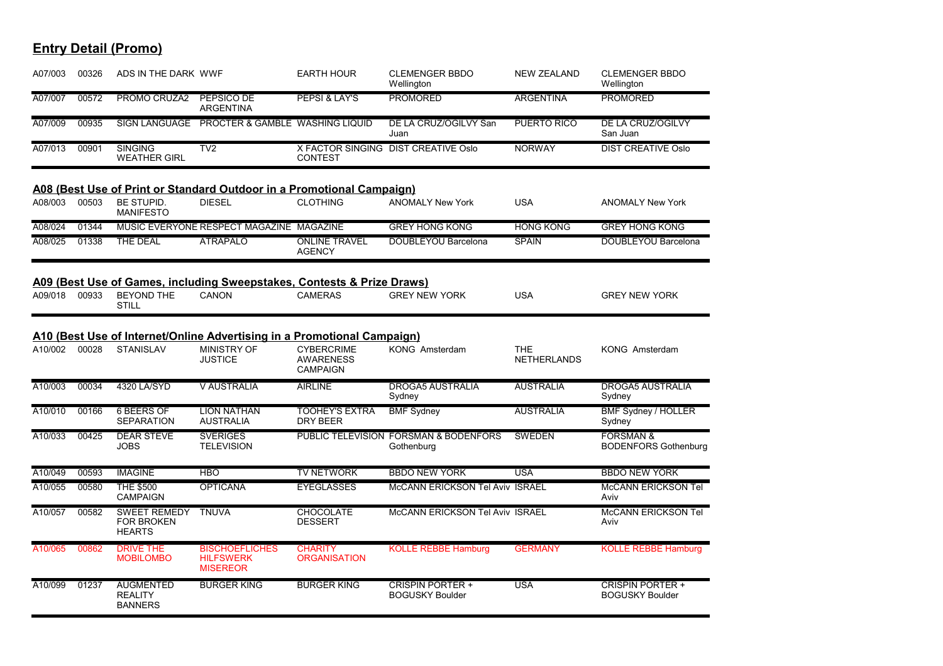| A07/003 | 00326 | ADS IN THE DARK WWF                                       |                                                                         | <b>EARTH HOUR</b>                                 | <b>CLEMENGER BBDO</b><br>Wellington                 | <b>NEW ZEALAND</b>               | <b>CLEMENGER BBDO</b><br>Wellington                 |
|---------|-------|-----------------------------------------------------------|-------------------------------------------------------------------------|---------------------------------------------------|-----------------------------------------------------|----------------------------------|-----------------------------------------------------|
| A07/007 | 00572 | PROMO CRUZA2                                              | PEPSICO DE<br><b>ARGENTINA</b>                                          | PEPSI & LAY'S                                     | <b>PROMORED</b>                                     | <b>ARGENTINA</b>                 | <b>PROMORED</b>                                     |
| A07/009 | 00935 |                                                           | SIGN LANGUAGE PROCTER & GAMBLE WASHING LIQUID                           |                                                   | DE LA CRUZ/OGILVY San<br>Juan                       | PUERTO RICO                      | DE LA CRUZ/OGILVY<br>San Juan                       |
| A07/013 | 00901 | <b>SINGING</b><br><b>WEATHER GIRL</b>                     | TV2                                                                     | <b>CONTEST</b>                                    | X FACTOR SINGING DIST CREATIVE Oslo                 | <b>NORWAY</b>                    | <b>DIST CREATIVE Oslo</b>                           |
|         |       |                                                           | A08 (Best Use of Print or Standard Outdoor in a Promotional Campaign)   |                                                   |                                                     |                                  |                                                     |
| A08/003 | 00503 | BE STUPID.<br><b>MANIFESTO</b>                            | <b>DIESEL</b>                                                           | <b>CLOTHING</b>                                   | <b>ANOMALY New York</b>                             | <b>USA</b>                       | <b>ANOMALY New York</b>                             |
| A08/024 | 01344 |                                                           | MUSIC EVERYONE RESPECT MAGAZINE MAGAZINE                                |                                                   | <b>GREY HONG KONG</b>                               | <b>HONG KONG</b>                 | <b>GREY HONG KONG</b>                               |
| A08/025 | 01338 | THE DEAL                                                  | <b>ATRÁPALO</b>                                                         | <b>ONLINE TRAVEL</b><br><b>AGENCY</b>             | DOUBLEYOU Barcelona                                 | <b>SPAIN</b>                     | DOUBLEYOU Barcelona                                 |
|         |       |                                                           | A09 (Best Use of Games, including Sweepstakes, Contests & Prize Draws)  |                                                   |                                                     |                                  |                                                     |
| A09/018 | 00933 | <b>BEYOND THE</b><br><b>STILL</b>                         | CANON                                                                   | <b>CAMERAS</b>                                    | <b>GREY NEW YORK</b>                                | <b>USA</b>                       | <b>GREY NEW YORK</b>                                |
|         |       |                                                           | A10 (Best Use of Internet/Online Advertising in a Promotional Campaign) |                                                   |                                                     |                                  |                                                     |
| A10/002 | 00028 | <b>STANISLAV</b>                                          | <b>MINISTRY OF</b><br><b>JUSTICE</b>                                    | <b>CYBERCRIME</b><br><b>AWARENESS</b><br>CAMPAIGN | KONG Amsterdam                                      | <b>THE</b><br><b>NETHERLANDS</b> | <b>KONG Amsterdam</b>                               |
| A10/003 | 00034 | 4320 LA/SYD                                               | <b>V AUSTRALIA</b>                                                      | <b>AIRLINE</b>                                    | <b>DROGA5 AUSTRALIA</b><br>Sydney                   | <b>AUSTRALIA</b>                 | <b>DROGA5 AUSTRALIA</b><br>Sydney                   |
| A10/010 | 00166 | <b>6 BEERS OF</b><br><b>SEPARATION</b>                    | <b>LION NATHAN</b><br><b>AUSTRALIA</b>                                  | <b>TOOHEY'S EXTRA</b><br>DRY BEER                 | <b>BMF Sydney</b>                                   | <b>AUSTRALIA</b>                 | <b>BMF Sydney / HOLLER</b><br>Sydney                |
| A10/033 | 00425 | <b>DEAR STEVE</b><br><b>JOBS</b>                          | <b>SVERIGES</b><br><b>TELEVISION</b>                                    |                                                   | PUBLIC TELEVISION FORSMAN & BODENFORS<br>Gothenburg | <b>SWEDEN</b>                    | <b>FORSMAN &amp;</b><br><b>BODENFORS Gothenburg</b> |
| A10/049 | 00593 | <b>IMAGINE</b>                                            | <b>HBO</b>                                                              | <b>TV NETWORK</b>                                 | <b>BBDO NEW YORK</b>                                | <b>USA</b>                       | <b>BBDO NEW YORK</b>                                |
| A10/055 | 00580 | <b>THE \$500</b><br><b>CAMPAIGN</b>                       | <b>OPTICANA</b>                                                         | <b>EYEGLASSES</b>                                 | McCANN ERICKSON Tel Aviv ISRAEL                     |                                  | <b>McCANN ERICKSON Tel</b><br>Aviv                  |
| A10/057 | 00582 | <b>SWEET REMEDY</b><br><b>FOR BROKEN</b><br><b>HEARTS</b> | <b>TNUVA</b>                                                            | <b>CHOCOLATE</b><br><b>DESSERT</b>                | <b>McCANN ERICKSON Tel Aviv ISRAEL</b>              |                                  | McCANN ERICKSON Tel<br>Aviv                         |
| A10/065 | 00862 | <b>DRIVE THE</b><br><b>MOBILOMBO</b>                      | <b>BISCHOEFLICHES</b><br><b>HILFSWERK</b><br><b>MISEREOR</b>            | <b>CHARITY</b><br><b>ORGANISATION</b>             | <b>KOLLE REBBE Hamburg</b>                          | <b>GERMANY</b>                   | <b>KOLLE REBBE Hamburg</b>                          |
| A10/099 | 01237 | <b>AUGMENTED</b><br><b>REALITY</b><br><b>BANNERS</b>      | <b>BURGER KING</b>                                                      | <b>BURGER KING</b>                                | <b>CRISPIN PORTER +</b><br><b>BOGUSKY Boulder</b>   | <b>USA</b>                       | <b>CRISPIN PORTER +</b><br><b>BOGUSKY Boulder</b>   |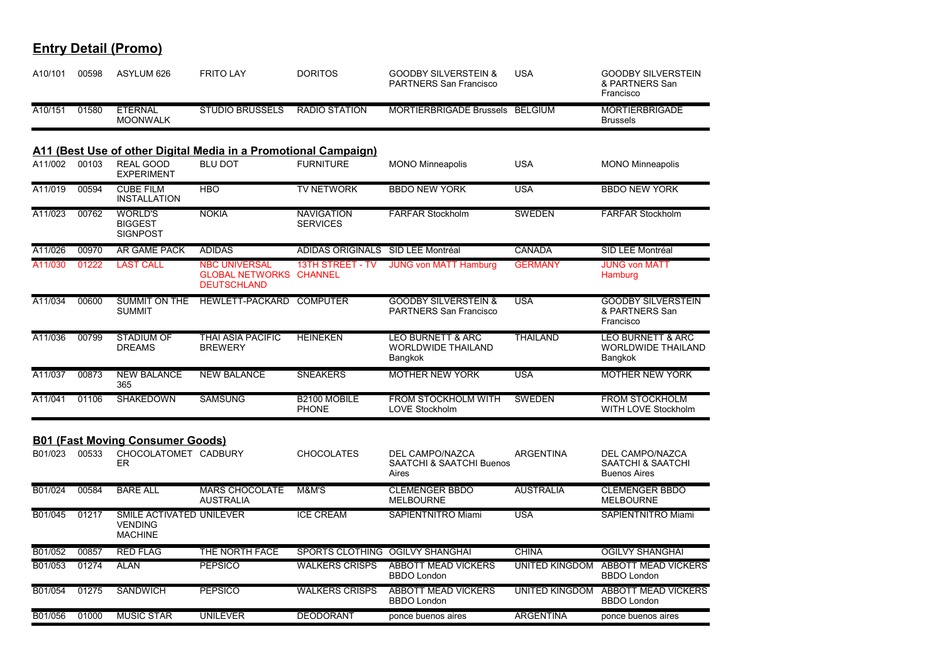| <b>Entry Detail (Promo)</b> |  |
|-----------------------------|--|
|                             |  |

| A10/101 | 00598 | ASYLUM 626                                                   | <b>FRITO LAY</b>                                                     | <b>DORITOS</b>                            | <b>GOODBY SILVERSTEIN &amp;</b><br><b>PARTNERS San Francisco</b>     | <b>USA</b>            | <b>GOODBY SILVERSTEIN</b><br>& PARTNERS San<br>Francisco             |
|---------|-------|--------------------------------------------------------------|----------------------------------------------------------------------|-------------------------------------------|----------------------------------------------------------------------|-----------------------|----------------------------------------------------------------------|
| A10/151 | 01580 | <b>ETERNAL</b><br><b>MOONWALK</b>                            | <b>STUDIO BRUSSELS</b>                                               | <b>RADIO STATION</b>                      | MORTIERBRIGADE Brussels BELGIUM                                      |                       | <b>MORTIERBRIGADE</b><br><b>Brussels</b>                             |
|         |       |                                                              | A11 (Best Use of other Digital Media in a Promotional Campaign)      |                                           |                                                                      |                       |                                                                      |
| A11/002 | 00103 | <b>REAL GOOD</b><br><b>EXPERIMENT</b>                        | <b>BLU DOT</b>                                                       | <b>FURNITURE</b>                          | <b>MONO Minneapolis</b>                                              | <b>USA</b>            | <b>MONO Minneapolis</b>                                              |
| A11/019 | 00594 | <b>CUBE FILM</b><br><b>INSTALLATION</b>                      | <b>HBO</b>                                                           | <b>TV NETWORK</b>                         | <b>BBDO NEW YORK</b>                                                 | <b>USA</b>            | <b>BBDO NEW YORK</b>                                                 |
| A11/023 | 00762 | <b>WORLD'S</b><br><b>BIGGEST</b><br><b>SIGNPOST</b>          | <b>NOKIA</b>                                                         | <b>NAVIGATION</b><br><b>SERVICES</b>      | <b>FARFAR Stockholm</b>                                              | <b>SWEDEN</b>         | <b>FARFAR Stockholm</b>                                              |
| A11/026 | 00970 | <b>AR GAME PACK</b>                                          | <b>ADIDAS</b>                                                        | <b>ADIDAS ORIGINALS</b>                   | SID LEE Montréal                                                     | <b>CANADA</b>         | SID LEE Montréal                                                     |
| A11/030 | 01222 | <b>LAST CALL</b>                                             | <b>NBC UNIVERSAL</b><br><b>GLOBAL NETWORKS</b><br><b>DEUTSCHLAND</b> | <b>13TH STREET - TV</b><br><b>CHANNEL</b> | <b>JUNG von MATT Hamburg</b>                                         | <b>GERMANY</b>        | <b>JUNG von MATT</b><br>Hamburg                                      |
| A11/034 | 00600 | <b>SUMMIT ON THE</b><br><b>SUMMIT</b>                        | HEWLETT-PACKARD COMPUTER                                             |                                           | <b>GOODBY SILVERSTEIN &amp;</b><br><b>PARTNERS San Francisco</b>     | <b>USA</b>            | <b>GOODBY SILVERSTEIN</b><br>& PARTNERS San<br>Francisco             |
| A11/036 | 00799 | <b>STADIUM OF</b><br><b>DREAMS</b>                           | <b>THAI ASIA PACIFIC</b><br><b>BREWERY</b>                           | <b>HEINEKEN</b>                           | <b>LEO BURNETT &amp; ARC</b><br><b>WORLDWIDE THAILAND</b><br>Bangkok | <b>THAILAND</b>       | <b>LEO BURNETT &amp; ARC</b><br><b>WORLDWIDE THAILAND</b><br>Bangkok |
| A11/037 | 00873 | <b>NEW BALANCE</b><br>365                                    | <b>NEW BALANCE</b>                                                   | <b>SNEAKERS</b>                           | <b>MOTHER NEW YORK</b>                                               | <b>USA</b>            | <b>MOTHER NEW YORK</b>                                               |
| A11/041 | 01106 | <b>SHAKEDOWN</b>                                             | <b>SAMSUNG</b>                                                       | B2100 MOBILE<br><b>PHONE</b>              | <b>FROM STOCKHOLM WITH</b><br>LOVE Stockholm                         | <b>SWEDEN</b>         | <b>FROM STOCKHOLM</b><br>WITH LOVE Stockholm                         |
|         |       | <b>B01 (Fast Moving Consumer Goods)</b>                      |                                                                      |                                           |                                                                      |                       |                                                                      |
| B01/023 | 00533 | CHOCOLATOMET CADBURY<br><b>ER</b>                            |                                                                      | CHOCOLATES                                | DEL CAMPO/NAZCA<br><b>SAATCHI &amp; SAATCHI Buenos</b><br>Aires      | <b>ARGENTINA</b>      | DEL CAMPO/NAZCA<br>SAATCHI & SAATCHI<br><b>Buenos Aires</b>          |
| B01/024 | 00584 | <b>BARE ALL</b>                                              | <b>MARS CHOCOLATE</b><br><b>AUSTRALIA</b>                            | M&M'S                                     | <b>CLEMENGER BBDO</b><br><b>MELBOURNE</b>                            | <b>AUSTRALIA</b>      | <b>CLEMENGER BBDO</b><br><b>MELBOURNE</b>                            |
| B01/045 | 01217 | SMILE ACTIVATED UNILEVER<br><b>VENDING</b><br><b>MACHINE</b> |                                                                      | <b>ICE CREAM</b>                          | <b>SAPIENTNITRO Miami</b>                                            | <b>USA</b>            | SAPIENTNITRO Miami                                                   |
| B01/052 | 00857 | <b>RED FLAG</b>                                              | THE NORTH FACE                                                       | SPORTS CLOTHING OGILVY SHANGHAI           |                                                                      | <b>CHINA</b>          | <b>OGILVY SHANGHAI</b>                                               |
| B01/053 | 01274 | <b>ALAN</b>                                                  | <b>PEPSICO</b>                                                       | <b>WALKERS CRISPS</b>                     | <b>ABBOTT MEAD VICKERS</b><br><b>BBDO</b> London                     | <b>UNITED KINGDOM</b> | <b>ABBOTT MEAD VICKERS</b><br><b>BBDO London</b>                     |
| B01/054 | 01275 | <b>SANDWICH</b>                                              | <b>PEPSICO</b>                                                       | <b>WALKERS CRISPS</b>                     | <b>ABBOTT MEAD VICKERS</b><br><b>BBDO</b> London                     | <b>UNITED KINGDOM</b> | <b>ABBOTT MEAD VICKERS</b><br><b>BBDO London</b>                     |
| B01/056 | 01000 | <b>MUSIC STAR</b>                                            | <b>UNILEVER</b>                                                      | <b>DEODORANT</b>                          | ponce buenos aires                                                   | <b>ARGENTINA</b>      | ponce buenos aires                                                   |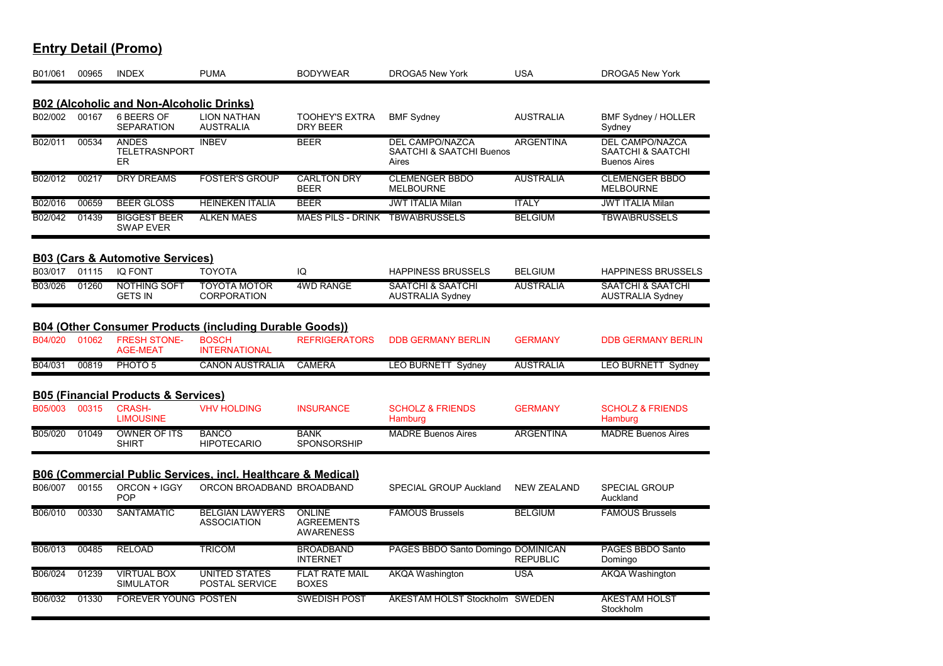| B01/061 | 00965 | <b>INDEX</b>                                                                       | <b>PUMA</b>                                                    | <b>BODYWEAR</b>                                        | <b>DROGA5 New York</b>                                      | <b>USA</b>         | <b>DROGA5 New York</b>                                             |
|---------|-------|------------------------------------------------------------------------------------|----------------------------------------------------------------|--------------------------------------------------------|-------------------------------------------------------------|--------------------|--------------------------------------------------------------------|
|         |       |                                                                                    |                                                                |                                                        |                                                             |                    |                                                                    |
| B02/002 | 00167 | <b>B02 (Alcoholic and Non-Alcoholic Drinks)</b><br>6 BEERS OF<br><b>SEPARATION</b> | <b>LION NATHAN</b><br><b>AUSTRALIA</b>                         | <b>TOOHEY'S EXTRA</b><br><b>DRY BEER</b>               | <b>BMF Sydney</b>                                           | <b>AUSTRALIA</b>   | BMF Sydney / HOLLER<br>Sydney                                      |
| B02/011 | 00534 | <b>ANDES</b><br><b>TELETRASNPORT</b><br>ER.                                        | <b>INBEV</b>                                                   | <b>BEER</b>                                            | <b>DEL CAMPO/NAZCA</b><br>SAATCHI & SAATCHI Buenos<br>Aires | <b>ARGENTINA</b>   | <b>DEL CAMPO/NAZCA</b><br>SAATCHI & SAATCHI<br><b>Buenos Aires</b> |
| B02/012 | 00217 | <b>DRY DREAMS</b>                                                                  | <b>FOSTER'S GROUP</b>                                          | <b>CARLTON DRY</b><br><b>BEER</b>                      | <b>CLEMENGER BBDO</b><br><b>MELBOURNE</b>                   | <b>AUSTRALIA</b>   | <b>CLEMENGER BBDO</b><br><b>MELBOURNE</b>                          |
| B02/016 | 00659 | <b>BEER GLOSS</b>                                                                  | <b>HEINEKEN ITALIA</b>                                         | <b>BEER</b>                                            | <b>JWT ITALIA Milan</b>                                     | <b>ITALY</b>       | <b>JWT ITALIA Milan</b>                                            |
| B02/042 | 01439 | <b>BIGGEST BEER</b><br><b>SWAP EVER</b>                                            | <b>ALKEN MAES</b>                                              | <b>MAES PILS - DRINK</b>                               | <b>TBWA\BRUSSELS</b>                                        | <b>BELGIUM</b>     | <b>TBWA\BRUSSELS</b>                                               |
|         |       | <b>B03 (Cars &amp; Automotive Services)</b>                                        |                                                                |                                                        |                                                             |                    |                                                                    |
| B03/017 | 01115 | <b>IQ FONT</b>                                                                     | <b>TOYOTA</b>                                                  | IQ                                                     | <b>HAPPINESS BRUSSELS</b>                                   | <b>BELGIUM</b>     | <b>HAPPINESS BRUSSELS</b>                                          |
| B03/026 | 01260 | <b>NOTHING SOFT</b><br><b>GETS IN</b>                                              | <b>TOYOTA MOTOR</b><br><b>CORPORATION</b>                      | <b>4WD RANGE</b>                                       | <b>SAATCHI &amp; SAATCHI</b><br><b>AUSTRALIA Sydney</b>     | <b>AUSTRALIA</b>   | <b>SAATCHI &amp; SAATCHI</b><br><b>AUSTRALIA Sydney</b>            |
|         |       |                                                                                    | <b>B04 (Other Consumer Products (including Durable Goods))</b> |                                                        |                                                             |                    |                                                                    |
| B04/020 | 01062 | <b>FRESH STONE-</b><br><b>AGE-MEAT</b>                                             | <b>BOSCH</b><br><b>INTERNATIONAL</b>                           | <b>REFRIGERATORS</b>                                   | <b>DDB GERMANY BERLIN</b>                                   | <b>GERMANY</b>     | <b>DDB GERMANY BERLIN</b>                                          |
| B04/031 | 00819 | PHOTO <sub>5</sub>                                                                 | <b>CANON AUSTRALIA</b>                                         | <b>CAMERA</b>                                          | LEO BURNETT Sydney                                          | <b>AUSTRALIA</b>   | <b>LEO BURNETT Sydney</b>                                          |
|         |       | <b>B05 (Financial Products &amp; Services)</b>                                     |                                                                |                                                        |                                                             |                    |                                                                    |
| B05/003 | 00315 | <b>CRASH-</b><br><b>LIMOUSINE</b>                                                  | <b>VHV HOLDING</b>                                             | <b>INSURANCE</b>                                       | <b>SCHOLZ &amp; FRIENDS</b><br>Hamburg                      | <b>GERMANY</b>     | <b>SCHOLZ &amp; FRIENDS</b><br>Hamburg                             |
| B05/020 | 01049 | <b>OWNER OF ITS</b><br><b>SHIRT</b>                                                | <b>BANCO</b><br><b>HIPOTECARIO</b>                             | <b>BANK</b><br><b>SPONSORSHIP</b>                      | <b>MADRE Buenos Aires</b>                                   | <b>ARGENTINA</b>   | <b>MADRE Buenos Aires</b>                                          |
|         |       |                                                                                    | B06 (Commercial Public Services, incl. Healthcare & Medical)   |                                                        |                                                             |                    |                                                                    |
| B06/007 | 00155 | ORCON + IGGY<br>POP                                                                | ORCON BROADBAND BROADBAND                                      |                                                        | <b>SPECIAL GROUP Auckland</b>                               | <b>NEW ZEALAND</b> | <b>SPECIAL GROUP</b><br>Auckland                                   |
| B06/010 | 00330 | <b>SANTAMATIC</b>                                                                  | <b>BELGIAN LAWYERS</b><br><b>ASSOCIATION</b>                   | <b>ONLINE</b><br><b>AGREEMENTS</b><br><b>AWARENESS</b> | <b>FAMOUS Brussels</b>                                      | <b>BELGIUM</b>     | <b>FAMOUS Brussels</b>                                             |
| B06/013 | 00485 | <b>RELOAD</b>                                                                      | <b>TRICOM</b>                                                  | <b>BROADBAND</b><br><b>INTERNET</b>                    | PAGÉS BBDO Santo Domingo DOMINICAN                          | <b>REPUBLIC</b>    | PAGÉS BBDO Santo<br>Domingo                                        |
| B06/024 | 01239 | <b>VIRTUAL BOX</b><br><b>SIMULATOR</b>                                             | <b>UNITED STATES</b><br>POSTAL SERVICE                         | <b>FLAT RATE MAIL</b><br><b>BOXES</b>                  | AKQA Washington                                             | <b>USA</b>         | AKQA Washington                                                    |
| B06/032 | 01330 | FOREVER YOUNG POSTEN                                                               |                                                                | <b>SWEDISH POST</b>                                    | ÅKESTAM HOLST Stockholm SWEDEN                              |                    | <b>ÅKESTAM HOLST</b><br>Stockholm                                  |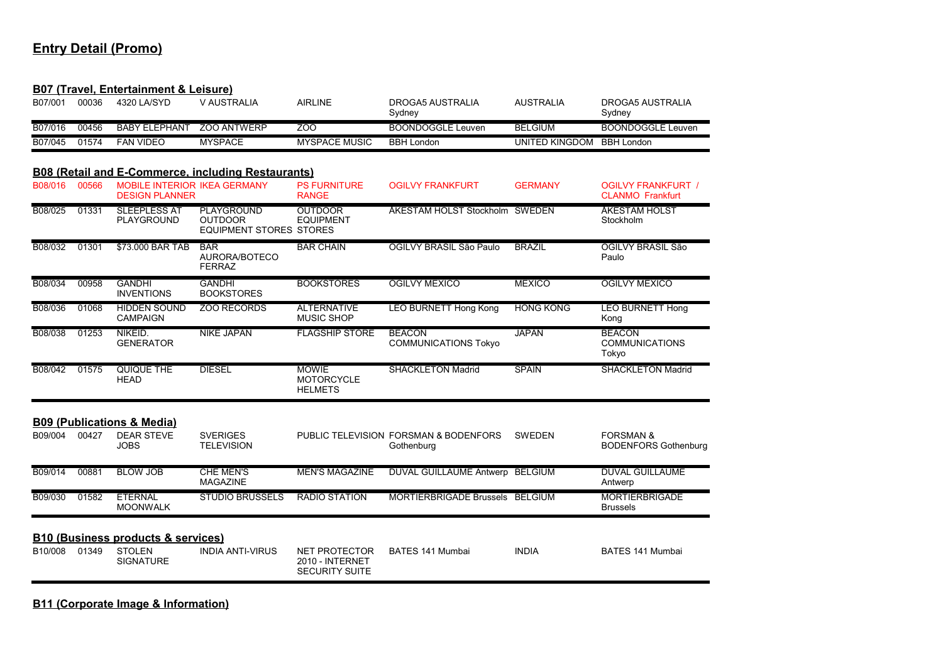#### **B07 (Travel, Entertainment & Leisure)**

| B07/001 | 00036 | 4320 LA/SYD           | V AUSTRALIA        | AIRLINE              | DROGA5 AUSTRALIA<br>Sydney | <b>AUSTRALIA</b> | DROGA5 AUSTRALIA<br>Sydney |
|---------|-------|-----------------------|--------------------|----------------------|----------------------------|------------------|----------------------------|
| B07/016 | 00456 | <b>BABY FI FPHANT</b> | <b>700 ANTWERP</b> | ZOO                  | BOONDOGGLE Leuven          | <b>BELGIUM</b>   | BOONDOGGLE Leuven          |
| B07/045 | 01574 | <b>FAN VIDEO</b>      | <b>MYSPACE</b>     | <b>MYSPACE MUSIC</b> | <b>BBH London</b>          | UNITED KINGDOM   | <b>BBH London</b>          |

#### **B08 (Retail and E-Commerce, including Restaurants)**

| B08/016 | 00566 | <b>MOBILE INTERIOR IKEA GERMANY</b><br><b>DESIGN PLANNER</b> |                                                                | <b>PS FURNITURE</b><br><b>RANGE</b>                              | <b>OGILVY FRANKFURT</b>                             | <b>GERMANY</b>   | <b>OGILVY FRANKFURT /</b><br><b>CLANMO Frankfurt</b> |
|---------|-------|--------------------------------------------------------------|----------------------------------------------------------------|------------------------------------------------------------------|-----------------------------------------------------|------------------|------------------------------------------------------|
| B08/025 | 01331 | <b>SLEEPLESS AT</b><br>PLAYGROUND                            | PLAYGROUND<br><b>OUTDOOR</b><br><b>EQUIPMENT STORES STORES</b> | <b>OUTDOOR</b><br><b>EQUIPMENT</b>                               | ÅKESTAM HOLST Stockholm SWEDEN                      |                  | <b>ÅKESTAM HOLST</b><br>Stockholm                    |
| B08/032 | 01301 | \$73,000 BAR TAB                                             | <b>BAR</b><br>AURORA/BOTECO<br><b>FERRAZ</b>                   | <b>BAR CHAIN</b>                                                 | OGILVY BRASIL São Paulo                             | <b>BRAZIL</b>    | OGILVY BRASIL São<br>Paulo                           |
| B08/034 | 00958 | <b>GANDHI</b><br><b>INVENTIONS</b>                           | <b>GANDHI</b><br><b>BOOKSTORES</b>                             | <b>BOOKSTORES</b>                                                | <b>OGILVY MEXICO</b>                                | <b>MEXICO</b>    | <b>OGILVY MEXICO</b>                                 |
| B08/036 | 01068 | <b>HIDDEN SOUND</b><br><b>CAMPAIGN</b>                       | <b>ZOO RECORDS</b>                                             | <b>ALTERNATIVE</b><br><b>MUSIC SHOP</b>                          | <b>LEO BURNETT Hong Kong</b>                        | <b>HONG KONG</b> | <b>LEO BURNETT Hong</b><br>Kong                      |
| B08/038 | 01253 | NIKEID.<br><b>GENERATOR</b>                                  | <b>NIKE JAPAN</b>                                              | <b>FLAGSHIP STORE</b>                                            | <b>BEACON</b><br><b>COMMUNICATIONS Tokyo</b>        | <b>JAPAN</b>     | <b>BEACON</b><br><b>COMMUNICATIONS</b><br>Tokyo      |
| B08/042 | 01575 | QUIQUE THE<br><b>HEAD</b>                                    | <b>DIESEL</b>                                                  | <b>MOWIE</b><br><b>MOTORCYCLE</b><br><b>HELMETS</b>              | <b>SHACKLETON Madrid</b>                            | <b>SPAIN</b>     | <b>SHACKLETON Madrid</b>                             |
|         |       | <b>B09 (Publications &amp; Media)</b>                        |                                                                |                                                                  |                                                     |                  |                                                      |
| B09/004 | 00427 | <b>DEAR STEVE</b><br><b>JOBS</b>                             | <b>SVERIGES</b><br><b>TELEVISION</b>                           |                                                                  | PUBLIC TELEVISION FORSMAN & BODENFORS<br>Gothenburg | <b>SWEDEN</b>    | <b>FORSMAN &amp;</b><br><b>BODENFORS Gothenburg</b>  |
| B09/014 | 00881 | <b>BLOW JOB</b>                                              | <b>CHE MEN'S</b><br><b>MAGAZINE</b>                            | <b>MEN'S MAGAZINE</b>                                            | DUVAL GUILLAUME Antwerp BELGIUM                     |                  | <b>DUVAL GUILLAUME</b><br>Antwerp                    |
| B09/030 | 01582 | <b>ETERNAL</b><br><b>MOONWALK</b>                            | <b>STUDIO BRUSSELS</b>                                         | <b>RADIO STATION</b>                                             | MORTIERBRIGADE Brussels BELGIUM                     |                  | <b>MORTIERBRIGADE</b><br><b>Brussels</b>             |
|         |       | <b>B10 (Business products &amp; services)</b>                |                                                                |                                                                  |                                                     |                  |                                                      |
| B10/008 | 01349 | <b>STOLEN</b><br><b>SIGNATURE</b>                            | <b>INDIA ANTI-VIRUS</b>                                        | <b>NET PROTECTOR</b><br>2010 - INTERNET<br><b>SECURITY SUITE</b> | BATES 141 Mumbai                                    | <b>INDIA</b>     | <b>BATES 141 Mumbai</b>                              |

**B11 (Corporate Image & Information)**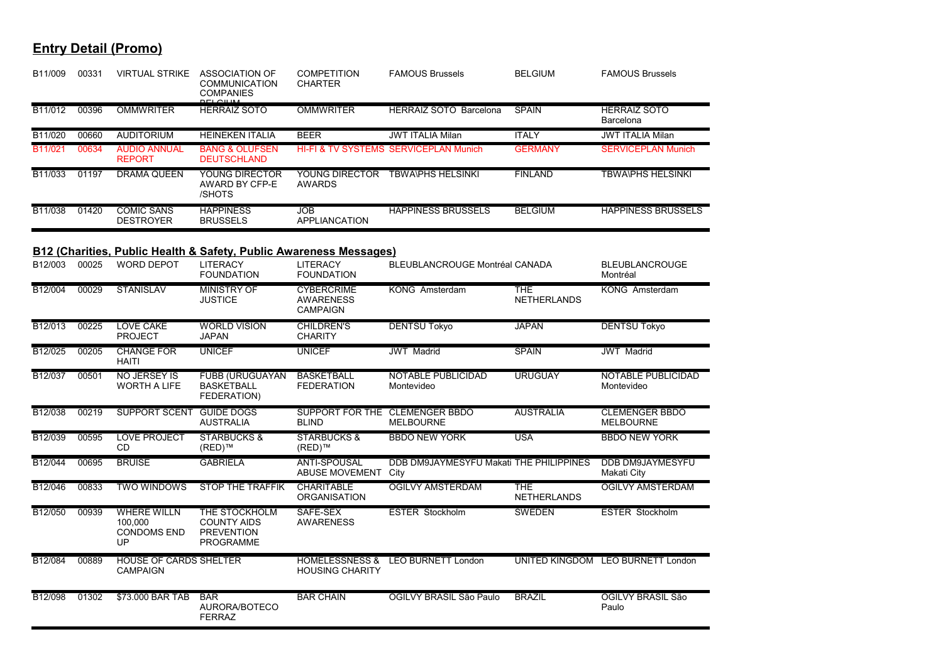| B11/009 | 00331 | VIRTUAL STRIKE                                            | ASSOCIATION OF<br><b>COMMUNICATION</b><br><b>COMPANIES</b>                    | <b>COMPETITION</b><br><b>CHARTER</b>                     | <b>FAMOUS Brussels</b>                             | <b>BELGIUM</b>                   | <b>FAMOUS Brussels</b>                    |
|---------|-------|-----------------------------------------------------------|-------------------------------------------------------------------------------|----------------------------------------------------------|----------------------------------------------------|----------------------------------|-------------------------------------------|
| B11/012 | 00396 | <b>OMMWRITER</b>                                          | <b>HERRAIZ SOTO</b>                                                           | <b>OMMWRITER</b>                                         | <b>HERRAIZ SOTO Barcelona</b>                      | <b>SPAIN</b>                     | <b>HERRAIZ SOTO</b><br>Barcelona          |
| B11/020 | 00660 | <b>AUDITORIUM</b>                                         | <b>HEINEKEN ITALIA</b>                                                        | <b>BEER</b>                                              | <b>JWT ITALIA Milan</b>                            | <b>ITALY</b>                     | <b>JWT ITALIA Milan</b>                   |
| B11/021 | 00634 | <b>AUDIO ANNUAL</b><br><b>REPORT</b>                      | <b>BANG &amp; OLUFSEN</b><br><b>DEUTSCHLAND</b>                               |                                                          | HI-FI & TV SYSTEMS SERVICEPLAN Munich              | <b>GERMANY</b>                   | <b>SERVICEPLAN Munich</b>                 |
| B11/033 | 01197 | <b>DRAMA QUEEN</b>                                        | <b>YOUNG DIRECTOR</b><br>AWARD BY CFP-E<br>/SHOTS                             | YOUNG DIRECTOR<br><b>AWARDS</b>                          | <b>TBWA\PHS HELSINKI</b>                           | <b>FINLAND</b>                   | <b>TBWA\PHS HELSINKI</b>                  |
| B11/038 | 01420 | <b>COMIC SANS</b><br><b>DESTROYER</b>                     | <b>HAPPINESS</b><br><b>BRUSSELS</b>                                           | <b>JOB</b><br><b>APPLIANCATION</b>                       | <b>HAPPINESS BRUSSELS</b>                          | <b>BELGIUM</b>                   | <b>HAPPINESS BRUSSELS</b>                 |
|         |       |                                                           | <b>B12 (Charities, Public Health &amp; Safety, Public Awareness Messages)</b> |                                                          |                                                    |                                  |                                           |
| B12/003 | 00025 | <b>WORD DEPOT</b>                                         | <b>LITERACY</b><br><b>FOUNDATION</b>                                          | <b>LITERACY</b><br><b>FOUNDATION</b>                     | <b>BLEUBLANCROUGE Montréal CANADA</b>              |                                  | <b>BLEUBLANCROUGE</b><br>Montréal         |
| B12/004 | 00029 | <b>STANISLAV</b>                                          | <b>MINISTRY OF</b><br><b>JUSTICE</b>                                          | <b>CYBERCRIME</b><br><b>AWARENESS</b><br><b>CAMPAIGN</b> | KONG Amsterdam                                     | <b>THE</b><br><b>NETHERLANDS</b> | KONG Amsterdam                            |
| B12/013 | 00225 | <b>LOVE CAKE</b><br><b>PROJECT</b>                        | <b>WORLD VISION</b><br><b>JAPAN</b>                                           | <b>CHILDREN'S</b><br><b>CHARITY</b>                      | <b>DENTSU Tokyo</b>                                | <b>JAPAN</b>                     | <b>DENTSU Tokyo</b>                       |
| B12/025 | 00205 | <b>CHANGE FOR</b><br><b>HAITI</b>                         | <b>UNICEF</b>                                                                 | <b>UNICEF</b>                                            | <b>JWT</b> Madrid                                  | <b>SPAIN</b>                     | <b>JWT</b> Madrid                         |
| B12/037 | 00501 | <b>NO JERSEY IS</b><br><b>WORTH A LIFE</b>                | FUBB (URUGUAYAN<br><b>BASKETBALL</b><br>FEDERATION)                           | <b>BASKETBALL</b><br><b>FEDERATION</b>                   | NOTABLE PUBLICIDAD<br>Montevideo                   | <b>URUGUAY</b>                   | NOTABLE PUBLICIDAD<br>Montevideo          |
| B12/038 | 00219 | <b>SUPPORT SCENT</b>                                      | <b>GUIDE DOGS</b><br><b>AUSTRALIA</b>                                         | <b>BLIND</b>                                             | SUPPORT FOR THE CLEMENGER BBDO<br><b>MELBOURNE</b> | <b>AUSTRALIA</b>                 | <b>CLEMENGER BBDO</b><br><b>MELBOURNE</b> |
| B12/039 | 00595 | <b>LOVE PROJECT</b><br>CD                                 | <b>STARBUCKS &amp;</b><br>(RED)™                                              | <b>STARBUCKS &amp;</b><br>(RED)™                         | <b>BBDO NEW YORK</b>                               | <b>USA</b>                       | <b>BBDO NEW YORK</b>                      |
| B12/044 | 00695 | <b>BRUISE</b>                                             | <b>GABRIELA</b>                                                               | <b>ANTI-SPOUSAL</b><br><b>ABUSE MOVEMENT</b>             | DDB DM9JAYMESYFU Makati THE PHILIPPINES<br>City    |                                  | <b>DDB DM9JAYMESYFU</b><br>Makati City    |
| B12/046 | 00833 | <b>TWO WINDOWS</b>                                        | <b>STOP THE TRAFFIK</b>                                                       | <b>CHARITABLE</b><br><b>ORGANISATION</b>                 | <b>OGILVY AMSTERDAM</b>                            | <b>THE</b><br><b>NETHERLANDS</b> | <b>OGILVY AMSTERDAM</b>                   |
| B12/050 | 00939 | <b>WHERE WILLN</b><br>100.000<br><b>CONDOMS END</b><br>UP | THE STOCKHOLM<br><b>COUNTY AIDS</b><br><b>PREVENTION</b><br><b>PROGRAMME</b>  | SAFE-SEX<br><b>AWARENESS</b>                             | <b>ESTER Stockholm</b>                             | <b>SWEDEN</b>                    | <b>ESTER Stockholm</b>                    |
| B12/084 | 00889 | <b>HOUSE OF CARDS SHELTER</b><br><b>CAMPAIGN</b>          |                                                                               | <b>HOUSING CHARITY</b>                                   | HOMELESSNESS & LEO BURNETT London                  |                                  | UNITED KINGDOM LEO BURNETT London         |
| B12/098 | 01302 | \$73,000 BAR TAB                                          | <b>BAR</b><br>AURORA/BOTECO<br><b>FERRAZ</b>                                  | <b>BAR CHAIN</b>                                         | OGILVY BRASIL São Paulo                            | <b>BRAZIL</b>                    | OGILVY BRASIL São<br>Paulo                |